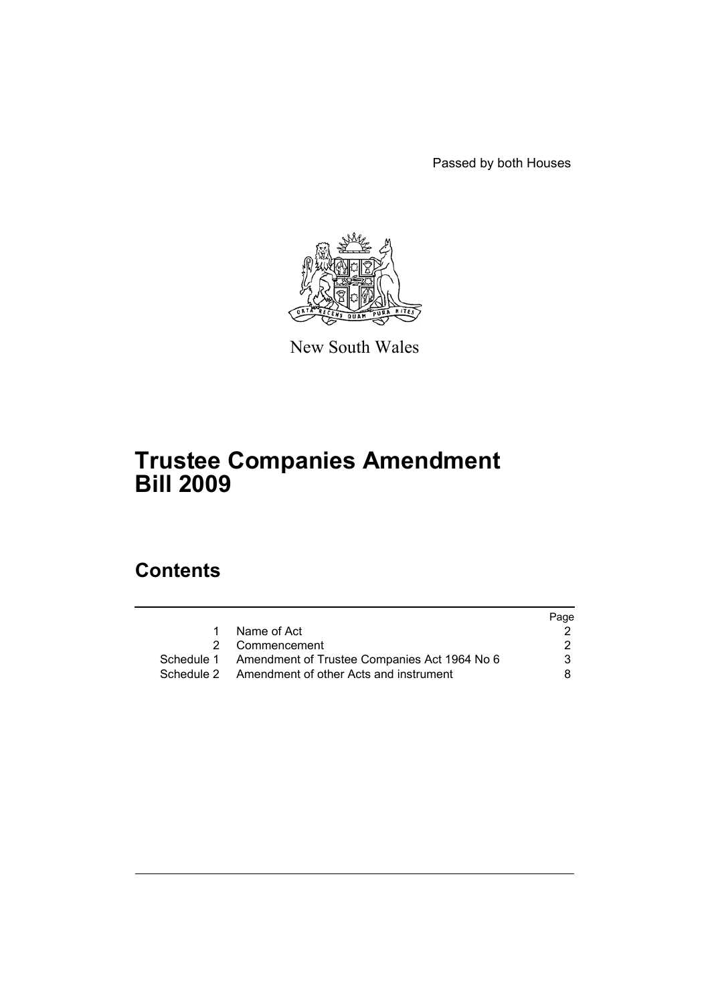Passed by both Houses



New South Wales

# **Trustee Companies Amendment Bill 2009**

# **Contents**

|  |                                                         | Page |
|--|---------------------------------------------------------|------|
|  | Name of Act                                             |      |
|  | 2 Commencement                                          | 2    |
|  | Schedule 1 Amendment of Trustee Companies Act 1964 No 6 | 3    |
|  | Schedule 2 Amendment of other Acts and instrument       | 8.   |
|  |                                                         |      |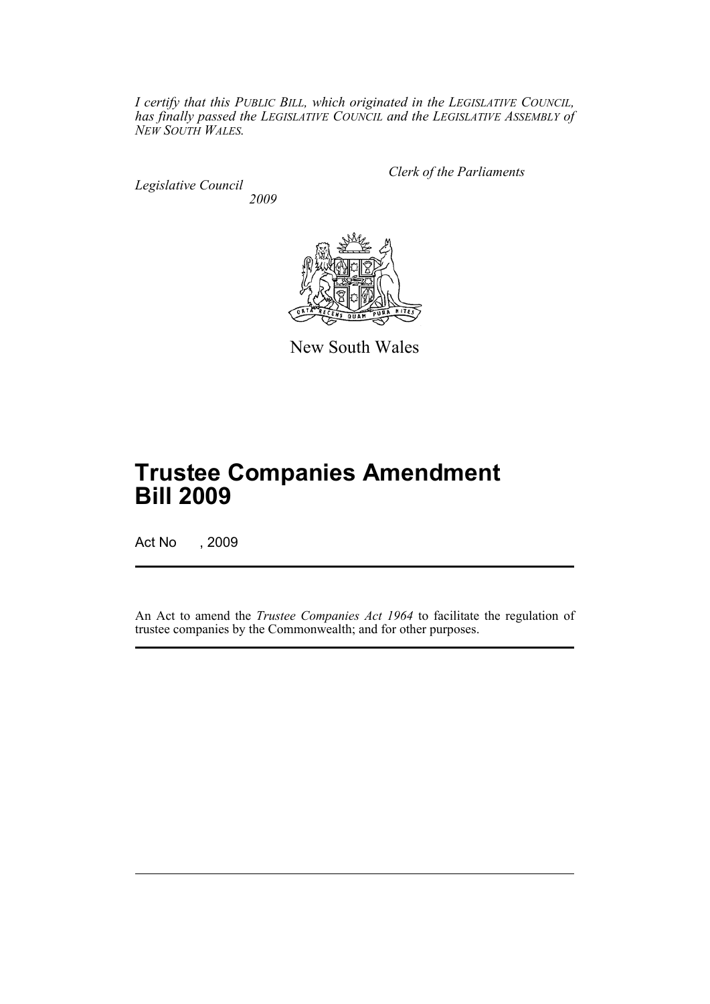*I certify that this PUBLIC BILL, which originated in the LEGISLATIVE COUNCIL, has finally passed the LEGISLATIVE COUNCIL and the LEGISLATIVE ASSEMBLY of NEW SOUTH WALES.*

*Legislative Council 2009* *Clerk of the Parliaments*



New South Wales

# **Trustee Companies Amendment Bill 2009**

Act No , 2009

An Act to amend the *Trustee Companies Act 1964* to facilitate the regulation of trustee companies by the Commonwealth; and for other purposes.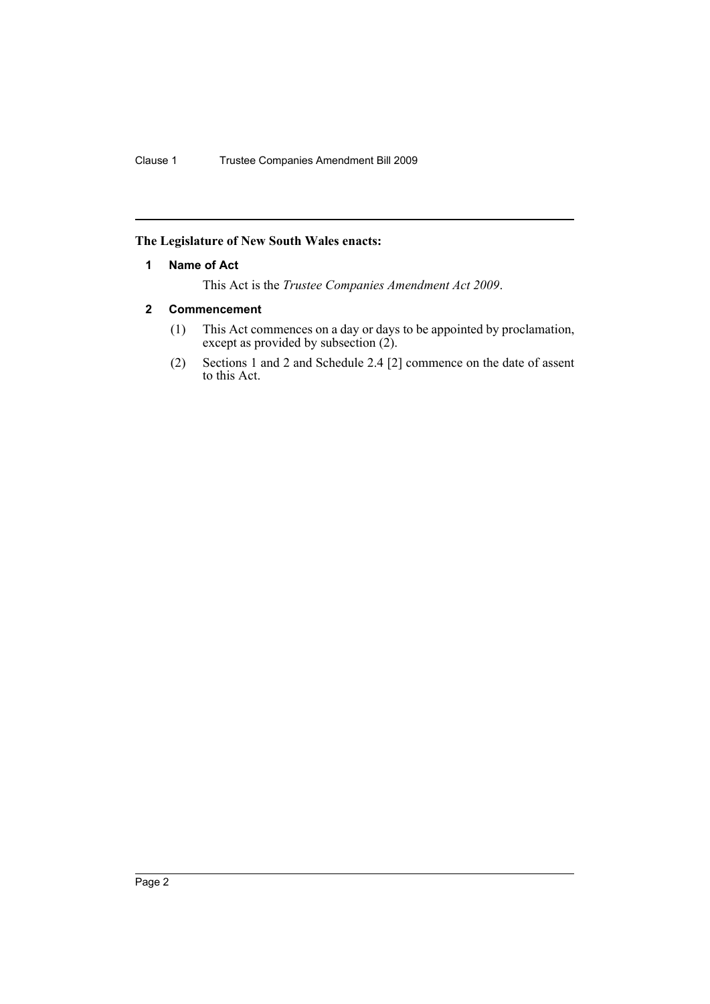# <span id="page-3-0"></span>**The Legislature of New South Wales enacts:**

## **1 Name of Act**

This Act is the *Trustee Companies Amendment Act 2009*.

# <span id="page-3-1"></span>**2 Commencement**

- (1) This Act commences on a day or days to be appointed by proclamation, except as provided by subsection (2).
- (2) Sections 1 and 2 and Schedule 2.4 [2] commence on the date of assent to this Act.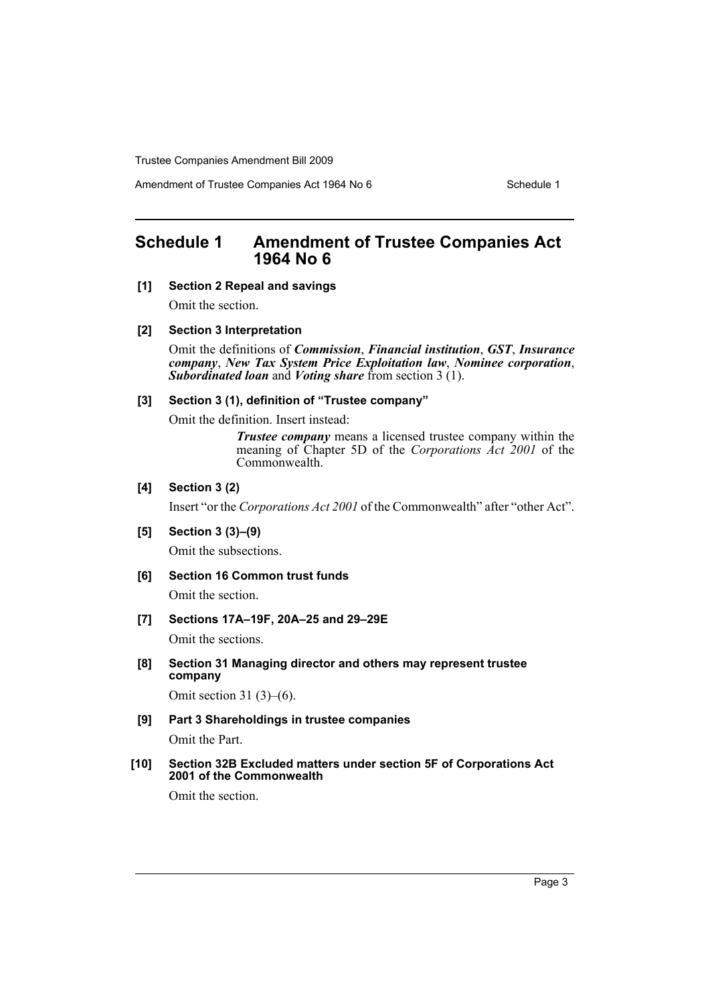Amendment of Trustee Companies Act 1964 No 6 Schedule 1

# <span id="page-4-0"></span>**Schedule 1 Amendment of Trustee Companies Act 1964 No 6**

# **[1] Section 2 Repeal and savings**

Omit the section.

#### **[2] Section 3 Interpretation**

Omit the definitions of *Commission*, *Financial institution*, *GST*, *Insurance company*, *New Tax System Price Exploitation law*, *Nominee corporation*, *Subordinated loan* and *Voting share* from section 3 (1).

# **[3] Section 3 (1), definition of "Trustee company"**

Omit the definition. Insert instead:

*Trustee company* means a licensed trustee company within the meaning of Chapter 5D of the *Corporations Act 2001* of the Commonwealth.

## **[4] Section 3 (2)**

Insert "or the *Corporations Act 2001* of the Commonwealth" after "other Act".

**[5] Section 3 (3)–(9)**

Omit the subsections.

**[6] Section 16 Common trust funds**

Omit the section.

**[7] Sections 17A–19F, 20A–25 and 29–29E**

Omit the sections.

**[8] Section 31 Managing director and others may represent trustee company**

Omit section 31 $(3)$ – $(6)$ .

**[9] Part 3 Shareholdings in trustee companies**

Omit the Part.

**[10] Section 32B Excluded matters under section 5F of Corporations Act 2001 of the Commonwealth**

Omit the section.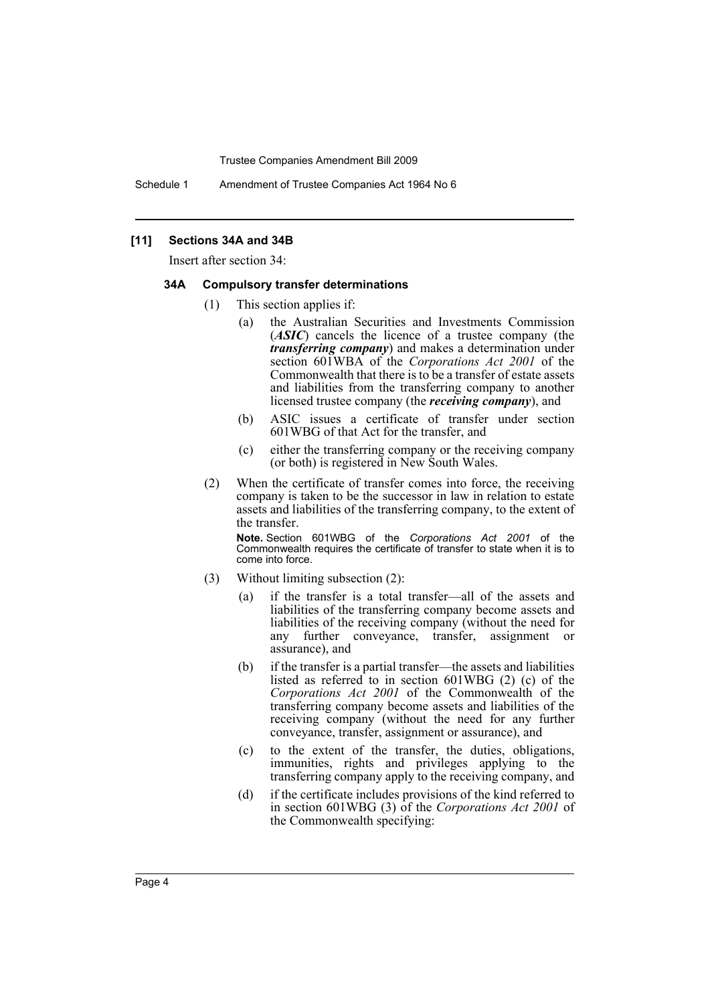Schedule 1 Amendment of Trustee Companies Act 1964 No 6

### **[11] Sections 34A and 34B**

Insert after section 34:

#### **34A Compulsory transfer determinations**

- (1) This section applies if:
	- (a) the Australian Securities and Investments Commission (*ASIC*) cancels the licence of a trustee company (the *transferring company*) and makes a determination under section 601WBA of the *Corporations Act 2001* of the Commonwealth that there is to be a transfer of estate assets and liabilities from the transferring company to another licensed trustee company (the *receiving company*), and
	- (b) ASIC issues a certificate of transfer under section 601WBG of that Act for the transfer, and
	- (c) either the transferring company or the receiving company (or both) is registered in New South Wales.
- (2) When the certificate of transfer comes into force, the receiving company is taken to be the successor in law in relation to estate assets and liabilities of the transferring company, to the extent of the transfer.

**Note.** Section 601WBG of the *Corporations Act 2001* of the Commonwealth requires the certificate of transfer to state when it is to come into force.

- (3) Without limiting subsection (2):
	- (a) if the transfer is a total transfer—all of the assets and liabilities of the transferring company become assets and liabilities of the receiving company (without the need for any further conveyance, transfer, assignment or assurance), and
	- (b) if the transfer is a partial transfer—the assets and liabilities listed as referred to in section 601WBG (2) (c) of the *Corporations Act 2001* of the Commonwealth of the transferring company become assets and liabilities of the receiving company (without the need for any further conveyance, transfer, assignment or assurance), and
	- (c) to the extent of the transfer, the duties, obligations, immunities, rights and privileges applying to the transferring company apply to the receiving company, and
	- (d) if the certificate includes provisions of the kind referred to in section 601WBG (3) of the *Corporations Act 2001* of the Commonwealth specifying: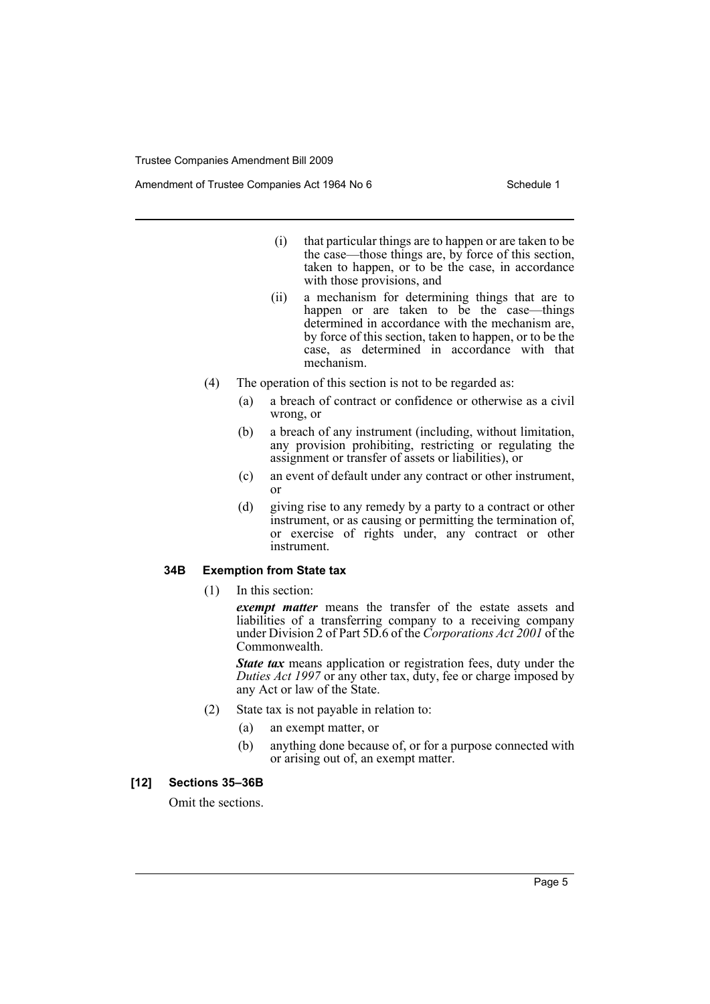Amendment of Trustee Companies Act 1964 No 6 Schedule 1

- (i) that particular things are to happen or are taken to be the case—those things are, by force of this section, taken to happen, or to be the case, in accordance with those provisions, and
- (ii) a mechanism for determining things that are to happen or are taken to be the case—things determined in accordance with the mechanism are, by force of this section, taken to happen, or to be the case, as determined in accordance with that mechanism.
- (4) The operation of this section is not to be regarded as:
	- (a) a breach of contract or confidence or otherwise as a civil wrong, or
	- (b) a breach of any instrument (including, without limitation, any provision prohibiting, restricting or regulating the assignment or transfer of assets or liabilities), or
	- (c) an event of default under any contract or other instrument, or
	- (d) giving rise to any remedy by a party to a contract or other instrument, or as causing or permitting the termination of, or exercise of rights under, any contract or other instrument.

# **34B Exemption from State tax**

(1) In this section:

*exempt matter* means the transfer of the estate assets and liabilities of a transferring company to a receiving company under Division 2 of Part 5D.6 of the *Corporations Act 2001* of the Commonwealth.

*State tax* means application or registration fees, duty under the *Duties Act 1997* or any other tax, duty, fee or charge imposed by any Act or law of the State.

- (2) State tax is not payable in relation to:
	- (a) an exempt matter, or
	- (b) anything done because of, or for a purpose connected with or arising out of, an exempt matter.

#### **[12] Sections 35–36B**

Omit the sections.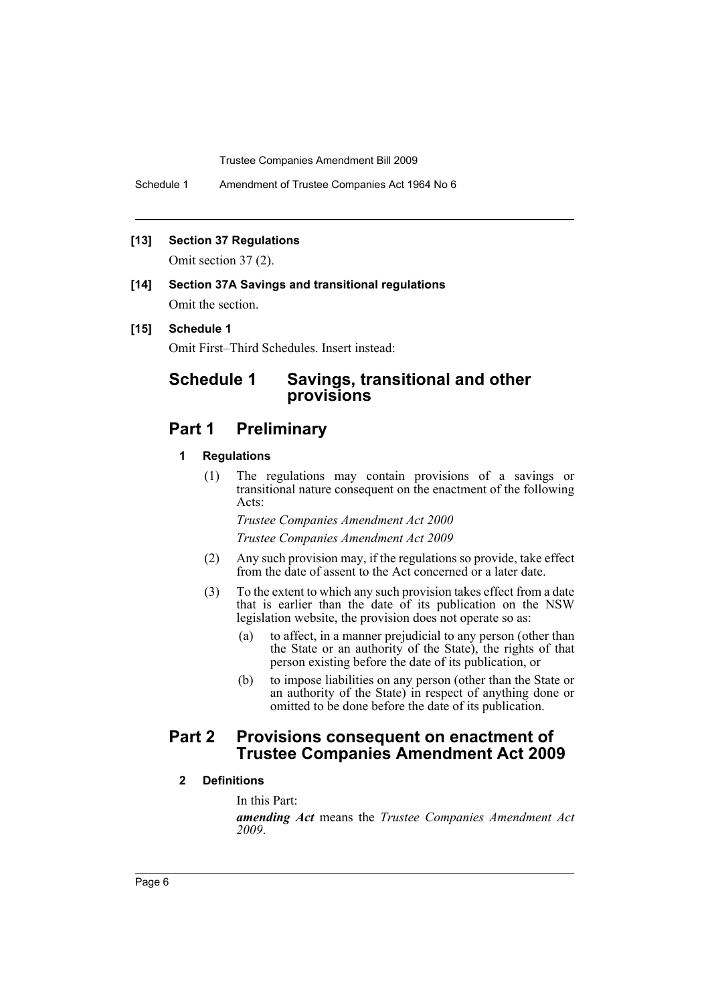Schedule 1 Amendment of Trustee Companies Act 1964 No 6

### **[13] Section 37 Regulations**

Omit section 37 (2).

# **[14] Section 37A Savings and transitional regulations** Omit the section.

#### **[15] Schedule 1**

Omit First–Third Schedules. Insert instead:

# **Schedule 1 Savings, transitional and other provisions**

# **Part 1 Preliminary**

### **1 Regulations**

(1) The regulations may contain provisions of a savings or transitional nature consequent on the enactment of the following Acts:

*Trustee Companies Amendment Act 2000*

*Trustee Companies Amendment Act 2009*

- (2) Any such provision may, if the regulations so provide, take effect from the date of assent to the Act concerned or a later date.
- (3) To the extent to which any such provision takes effect from a date that is earlier than the date of its publication on the NSW legislation website, the provision does not operate so as:
	- (a) to affect, in a manner prejudicial to any person (other than the State or an authority of the State), the rights of that person existing before the date of its publication, or
	- (b) to impose liabilities on any person (other than the State or an authority of the State) in respect of anything done or omitted to be done before the date of its publication.

# **Part 2 Provisions consequent on enactment of Trustee Companies Amendment Act 2009**

# **2 Definitions**

In this Part:

*amending Act* means the *Trustee Companies Amendment Act 2009*.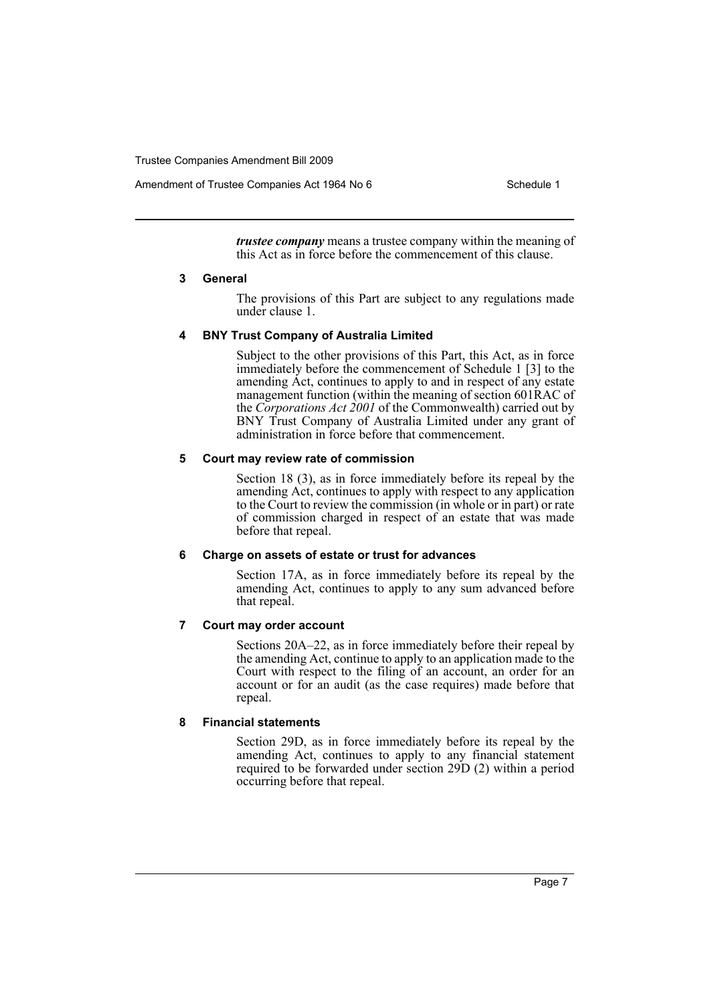Amendment of Trustee Companies Act 1964 No 6 Schedule 1

*trustee company* means a trustee company within the meaning of this Act as in force before the commencement of this clause.

#### **3 General**

The provisions of this Part are subject to any regulations made under clause 1.

#### **4 BNY Trust Company of Australia Limited**

Subject to the other provisions of this Part, this Act, as in force immediately before the commencement of Schedule 1 [3] to the amending Act, continues to apply to and in respect of any estate management function (within the meaning of section 601RAC of the *Corporations Act 2001* of the Commonwealth) carried out by BNY Trust Company of Australia Limited under any grant of administration in force before that commencement.

#### **5 Court may review rate of commission**

Section 18 (3), as in force immediately before its repeal by the amending Act, continues to apply with respect to any application to the Court to review the commission (in whole or in part) or rate of commission charged in respect of an estate that was made before that repeal.

#### **6 Charge on assets of estate or trust for advances**

Section 17A, as in force immediately before its repeal by the amending Act, continues to apply to any sum advanced before that repeal.

# **7 Court may order account**

Sections 20A–22, as in force immediately before their repeal by the amending Act, continue to apply to an application made to the Court with respect to the filing of an account, an order for an account or for an audit (as the case requires) made before that repeal.

# **8 Financial statements**

Section 29D, as in force immediately before its repeal by the amending Act, continues to apply to any financial statement required to be forwarded under section 29D (2) within a period occurring before that repeal.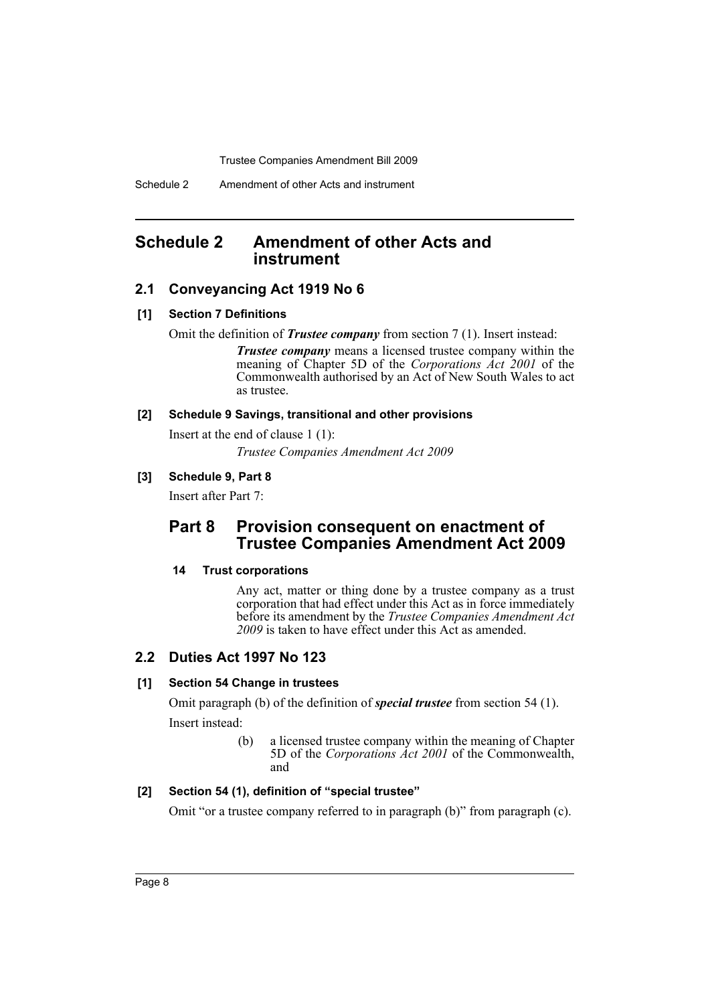Schedule 2 Amendment of other Acts and instrument

# <span id="page-9-0"></span>**Schedule 2 Amendment of other Acts and instrument**

# **2.1 Conveyancing Act 1919 No 6**

## **[1] Section 7 Definitions**

Omit the definition of *Trustee company* from section 7 (1). Insert instead:

*Trustee company* means a licensed trustee company within the meaning of Chapter 5D of the *Corporations Act 2001* of the Commonwealth authorised by an Act of New South Wales to act as trustee.

#### **[2] Schedule 9 Savings, transitional and other provisions**

Insert at the end of clause 1 (1):

*Trustee Companies Amendment Act 2009*

# **[3] Schedule 9, Part 8**

Insert after Part 7:

# **Part 8 Provision consequent on enactment of Trustee Companies Amendment Act 2009**

# **14 Trust corporations**

Any act, matter or thing done by a trustee company as a trust corporation that had effect under this Act as in force immediately before its amendment by the *Trustee Companies Amendment Act 2009* is taken to have effect under this Act as amended.

# **2.2 Duties Act 1997 No 123**

# **[1] Section 54 Change in trustees**

Omit paragraph (b) of the definition of *special trustee* from section 54 (1). Insert instead:

> (b) a licensed trustee company within the meaning of Chapter 5D of the *Corporations Act 2001* of the Commonwealth, and

# **[2] Section 54 (1), definition of "special trustee"**

Omit "or a trustee company referred to in paragraph (b)" from paragraph (c).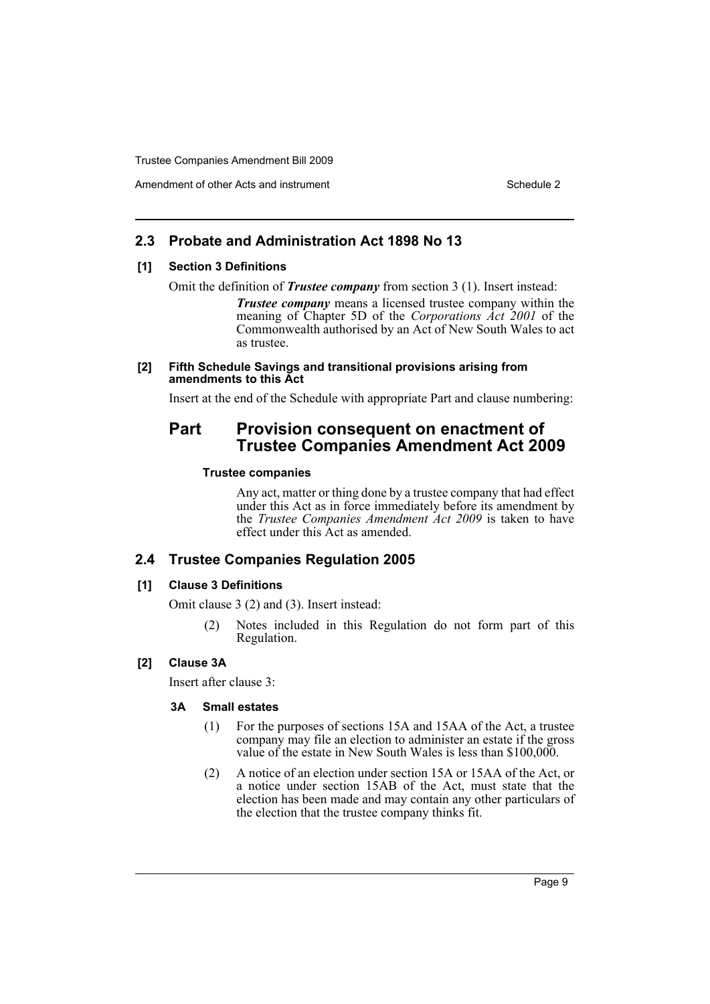# **2.3 Probate and Administration Act 1898 No 13**

#### **[1] Section 3 Definitions**

Omit the definition of *Trustee company* from section 3 (1). Insert instead:

*Trustee company* means a licensed trustee company within the meaning of Chapter 5D of the *Corporations Act 2001* of the Commonwealth authorised by an Act of New South Wales to act as trustee.

#### **[2] Fifth Schedule Savings and transitional provisions arising from amendments to this Act**

Insert at the end of the Schedule with appropriate Part and clause numbering:

# **Part Provision consequent on enactment of Trustee Companies Amendment Act 2009**

#### **Trustee companies**

Any act, matter or thing done by a trustee company that had effect under this Act as in force immediately before its amendment by the *Trustee Companies Amendment Act 2009* is taken to have effect under this Act as amended.

# **2.4 Trustee Companies Regulation 2005**

#### **[1] Clause 3 Definitions**

Omit clause 3 (2) and (3). Insert instead:

Notes included in this Regulation do not form part of this Regulation.

# **[2] Clause 3A**

Insert after clause 3:

#### **3A Small estates**

- (1) For the purposes of sections 15A and 15AA of the Act, a trustee company may file an election to administer an estate if the gross value of the estate in New South Wales is less than \$100,000.
- (2) A notice of an election under section 15A or 15AA of the Act, or a notice under section 15AB of the Act, must state that the election has been made and may contain any other particulars of the election that the trustee company thinks fit.